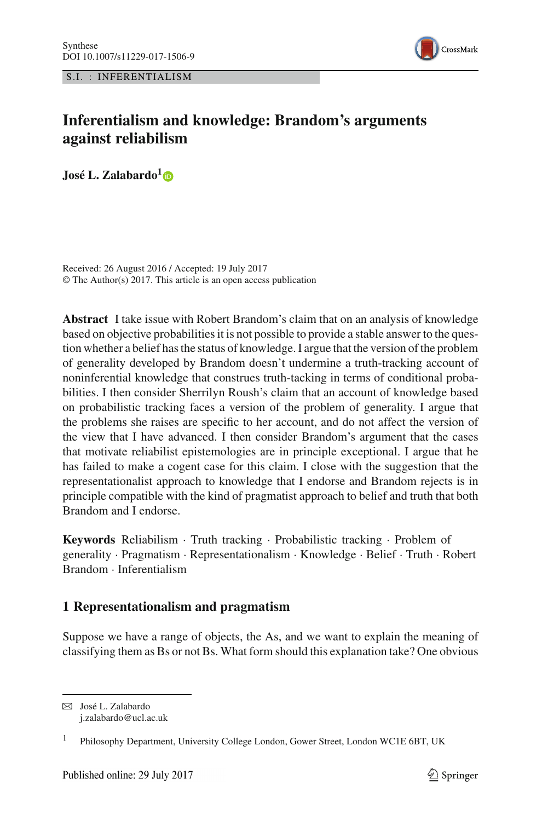S.I. : INFERENTIALISM



# **Inferentialism and knowledge: Brandom's arguments against reliabilism**

**José L. Zalabardo[1](http://orcid.org/0000-0002-1247-3548)**

Received: 26 August 2016 / Accepted: 19 July 2017 © The Author(s) 2017. This article is an open access publication

**Abstract** I take issue with Robert Brandom's claim that on an analysis of knowledge based on objective probabilities it is not possible to provide a stable answer to the question whether a belief has the status of knowledge. I argue that the version of the problem of generality developed by Brandom doesn't undermine a truth-tracking account of noninferential knowledge that construes truth-tacking in terms of conditional probabilities. I then consider Sherrilyn Roush's claim that an account of knowledge based on probabilistic tracking faces a version of the problem of generality. I argue that the problems she raises are specific to her account, and do not affect the version of the view that I have advanced. I then consider Brandom's argument that the cases that motivate reliabilist epistemologies are in principle exceptional. I argue that he has failed to make a cogent case for this claim. I close with the suggestion that the representationalist approach to knowledge that I endorse and Brandom rejects is in principle compatible with the kind of pragmatist approach to belief and truth that both Brandom and I endorse.

**Keywords** Reliabilism · Truth tracking · Probabilistic tracking · Problem of generality · Pragmatism · Representationalism · Knowledge · Belief · Truth · Robert Brandom · Inferentialism

# **1 Representationalism and pragmatism**

Suppose we have a range of objects, the As, and we want to explain the meaning of classifying them as Bs or not Bs. What form should this explanation take? One obvious

B José L. Zalabardo j.zalabardo@ucl.ac.uk

<sup>&</sup>lt;sup>1</sup> Philosophy Department, University College London, Gower Street, London WC1E 6BT, UK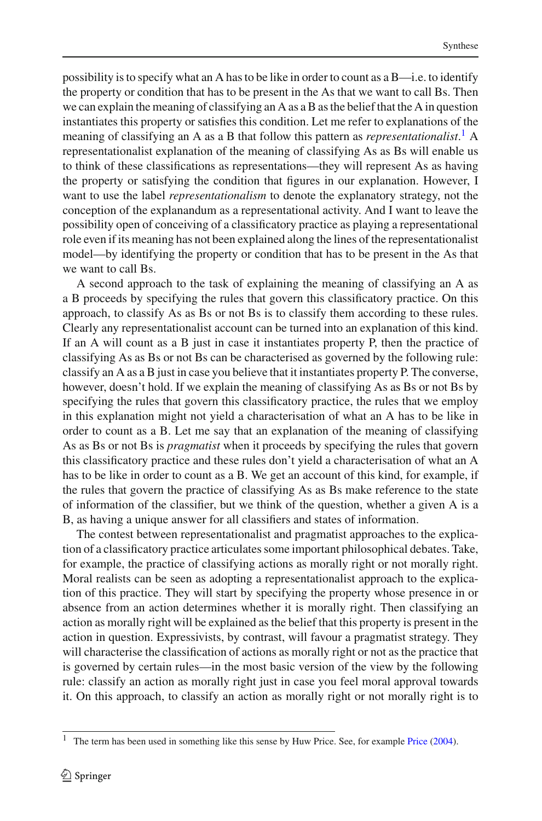possibility is to specify what an A has to be like in order to count as a B—i.e. to identify the property or condition that has to be present in the As that we want to call Bs. Then we can explain the meaning of classifying an A as a B as the belief that the A in question instantiates this property or satisfies this condition. Let me refer to explanations of the meaning of classifying an A as a B that follow this pattern as *representationalist*. [1](#page-1-0) A representationalist explanation of the meaning of classifying As as Bs will enable us to think of these classifications as representations—they will represent As as having the property or satisfying the condition that figures in our explanation. However, I want to use the label *representationalism* to denote the explanatory strategy, not the conception of the explanandum as a representational activity. And I want to leave the possibility open of conceiving of a classificatory practice as playing a representational role even if its meaning has not been explained along the lines of the representationalist model—by identifying the property or condition that has to be present in the As that we want to call Bs.

A second approach to the task of explaining the meaning of classifying an A as a B proceeds by specifying the rules that govern this classificatory practice. On this approach, to classify As as Bs or not Bs is to classify them according to these rules. Clearly any representationalist account can be turned into an explanation of this kind. If an A will count as a B just in case it instantiates property P, then the practice of classifying As as Bs or not Bs can be characterised as governed by the following rule: classify an A as a B just in case you believe that it instantiates property P. The converse, however, doesn't hold. If we explain the meaning of classifying As as Bs or not Bs by specifying the rules that govern this classificatory practice, the rules that we employ in this explanation might not yield a characterisation of what an A has to be like in order to count as a B. Let me say that an explanation of the meaning of classifying As as Bs or not Bs is *pragmatist* when it proceeds by specifying the rules that govern this classificatory practice and these rules don't yield a characterisation of what an A has to be like in order to count as a B. We get an account of this kind, for example, if the rules that govern the practice of classifying As as Bs make reference to the state of information of the classifier, but we think of the question, whether a given A is a B, as having a unique answer for all classifiers and states of information.

The contest between representationalist and pragmatist approaches to the explication of a classificatory practice articulates some important philosophical debates. Take, for example, the practice of classifying actions as morally right or not morally right. Moral realists can be seen as adopting a representationalist approach to the explication of this practice. They will start by specifying the property whose presence in or absence from an action determines whether it is morally right. Then classifying an action as morally right will be explained as the belief that this property is present in the action in question. Expressivists, by contrast, will favour a pragmatist strategy. They will characterise the classification of actions as morally right or not as the practice that is governed by certain rules—in the most basic version of the view by the following rule: classify an action as morally right just in case you feel moral approval towards it. On this approach, to classify an action as morally right or not morally right is to

<span id="page-1-0"></span><sup>&</sup>lt;sup>1</sup> The term has been used in something like this sense by Huw [Price](#page-18-0). See, for example Price  $(2004)$  $(2004)$ .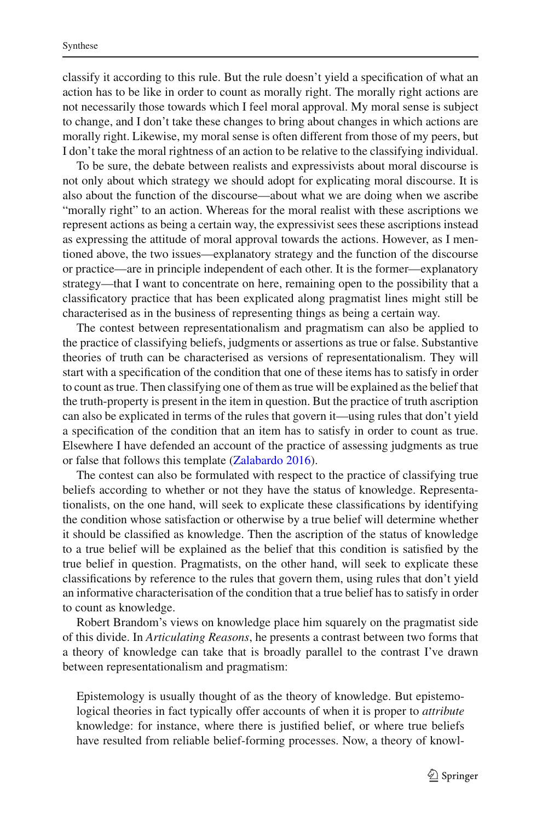classify it according to this rule. But the rule doesn't yield a specification of what an action has to be like in order to count as morally right. The morally right actions are not necessarily those towards which I feel moral approval. My moral sense is subject to change, and I don't take these changes to bring about changes in which actions are morally right. Likewise, my moral sense is often different from those of my peers, but I don't take the moral rightness of an action to be relative to the classifying individual.

To be sure, the debate between realists and expressivists about moral discourse is not only about which strategy we should adopt for explicating moral discourse. It is also about the function of the discourse—about what we are doing when we ascribe "morally right" to an action. Whereas for the moral realist with these ascriptions we represent actions as being a certain way, the expressivist sees these ascriptions instead as expressing the attitude of moral approval towards the actions. However, as I mentioned above, the two issues—explanatory strategy and the function of the discourse or practice—are in principle independent of each other. It is the former—explanatory strategy—that I want to concentrate on here, remaining open to the possibility that a classificatory practice that has been explicated along pragmatist lines might still be characterised as in the business of representing things as being a certain way.

The contest between representationalism and pragmatism can also be applied to the practice of classifying beliefs, judgments or assertions as true or false. Substantive theories of truth can be characterised as versions of representationalism. They will start with a specification of the condition that one of these items has to satisfy in order to count as true. Then classifying one of them as true will be explained as the belief that the truth-property is present in the item in question. But the practice of truth ascription can also be explicated in terms of the rules that govern it—using rules that don't yield a specification of the condition that an item has to satisfy in order to count as true. Elsewhere I have defended an account of the practice of assessing judgments as true or false that follows this template [\(Zalabardo 2016](#page-18-1)).

The contest can also be formulated with respect to the practice of classifying true beliefs according to whether or not they have the status of knowledge. Representationalists, on the one hand, will seek to explicate these classifications by identifying the condition whose satisfaction or otherwise by a true belief will determine whether it should be classified as knowledge. Then the ascription of the status of knowledge to a true belief will be explained as the belief that this condition is satisfied by the true belief in question. Pragmatists, on the other hand, will seek to explicate these classifications by reference to the rules that govern them, using rules that don't yield an informative characterisation of the condition that a true belief has to satisfy in order to count as knowledge.

Robert Brandom's views on knowledge place him squarely on the pragmatist side of this divide. In *Articulating Reasons*, he presents a contrast between two forms that a theory of knowledge can take that is broadly parallel to the contrast I've drawn between representationalism and pragmatism:

Epistemology is usually thought of as the theory of knowledge. But epistemological theories in fact typically offer accounts of when it is proper to *attribute* knowledge: for instance, where there is justified belief, or where true beliefs have resulted from reliable belief-forming processes. Now, a theory of knowl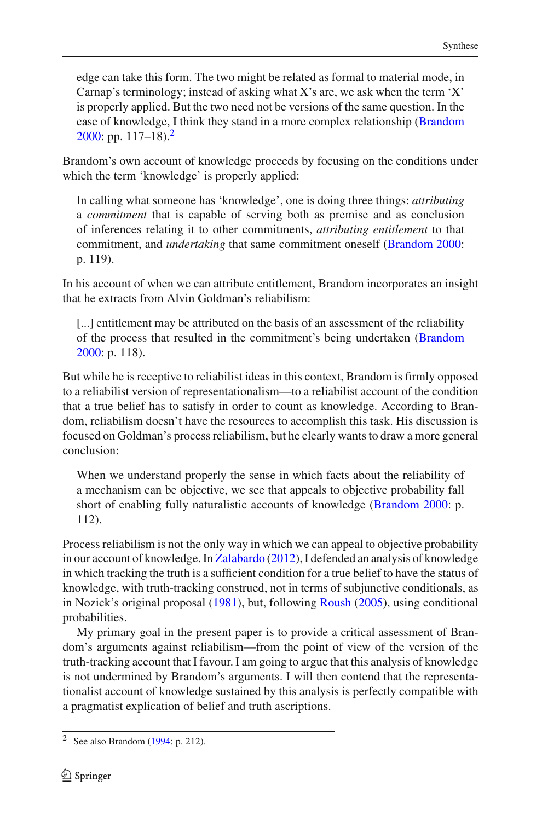edge can take this form. The two might be related as formal to material mode, in Carnap's terminology; instead of asking what X's are, we ask when the term 'X' is properly applied. But the two need not be versions of the same question. In the case of knowledge, I think they stand in a more complex relationship [\(Brandom](#page-18-2) [2000:](#page-18-2) pp.  $117-18$ .

Brandom's own account of knowledge proceeds by focusing on the conditions under which the term 'knowledge' is properly applied:

In calling what someone has 'knowledge', one is doing three things: *attributing* a *commitment* that is capable of serving both as premise and as conclusion of inferences relating it to other commitments, *attributing entitlement* to that commitment, and *undertaking* that same commitment oneself [\(Brandom 2000:](#page-18-2) p. 119).

In his account of when we can attribute entitlement, Brandom incorporates an insight that he extracts from Alvin Goldman's reliabilism:

[...] entitlement may be attributed on the basis of an assessment of the reliability of the process that resulted in the commitment's being undertaken [\(Brandom](#page-18-2) [2000:](#page-18-2) p. 118).

But while he is receptive to reliabilist ideas in this context, Brandom is firmly opposed to a reliabilist version of representationalism—to a reliabilist account of the condition that a true belief has to satisfy in order to count as knowledge. According to Brandom, reliabilism doesn't have the resources to accomplish this task. His discussion is focused on Goldman's process reliabilism, but he clearly wants to draw a more general conclusion:

When we understand properly the sense in which facts about the reliability of a mechanism can be objective, we see that appeals to objective probability fall short of enabling fully naturalistic accounts of knowledge [\(Brandom 2000](#page-18-2): p. 112).

Process reliabilism is not the only way in which we can appeal to objective probability in our account of knowledge. In [Zalabardo](#page-18-3) [\(2012\)](#page-18-3), I defended an analysis of knowledge in which tracking the truth is a sufficient condition for a true belief to have the status of knowledge, with truth-tracking construed, not in terms of subjunctive conditionals, as in Nozick's original proposal [\(1981\)](#page-18-4), but, following [Roush](#page-18-5) [\(2005\)](#page-18-5), using conditional probabilities.

My primary goal in the present paper is to provide a critical assessment of Brandom's arguments against reliabilism—from the point of view of the version of the truth-tracking account that I favour. I am going to argue that this analysis of knowledge is not undermined by Brandom's arguments. I will then contend that the representationalist account of knowledge sustained by this analysis is perfectly compatible with a pragmatist explication of belief and truth ascriptions.

<span id="page-3-0"></span><sup>2</sup> See also Brandom [\(1994](#page-18-6): p. 212).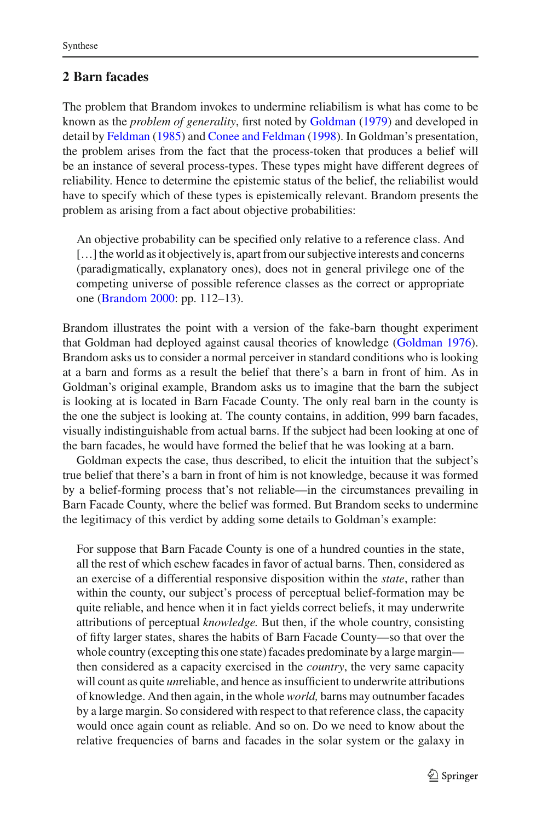# <span id="page-4-0"></span>**2 Barn facades**

The problem that Brandom invokes to undermine reliabilism is what has come to be known as the *problem of generality*, first noted by [Goldman](#page-18-7) [\(1979](#page-18-7)) and developed in detail by [Feldman](#page-18-8) [\(1985](#page-18-8)) and [Conee and Feldman](#page-18-9) [\(1998\)](#page-18-9). In Goldman's presentation, the problem arises from the fact that the process-token that produces a belief will be an instance of several process-types. These types might have different degrees of reliability. Hence to determine the epistemic status of the belief, the reliabilist would have to specify which of these types is epistemically relevant. Brandom presents the problem as arising from a fact about objective probabilities:

An objective probability can be specified only relative to a reference class. And […] the world as it objectively is, apart from our subjective interests and concerns (paradigmatically, explanatory ones), does not in general privilege one of the competing universe of possible reference classes as the correct or appropriate one [\(Brandom 2000:](#page-18-2) pp. 112–13).

Brandom illustrates the point with a version of the fake-barn thought experiment that Goldman had deployed against causal theories of knowledge [\(Goldman 1976](#page-18-10)). Brandom asks us to consider a normal perceiver in standard conditions who is looking at a barn and forms as a result the belief that there's a barn in front of him. As in Goldman's original example, Brandom asks us to imagine that the barn the subject is looking at is located in Barn Facade County. The only real barn in the county is the one the subject is looking at. The county contains, in addition, 999 barn facades, visually indistinguishable from actual barns. If the subject had been looking at one of the barn facades, he would have formed the belief that he was looking at a barn.

Goldman expects the case, thus described, to elicit the intuition that the subject's true belief that there's a barn in front of him is not knowledge, because it was formed by a belief-forming process that's not reliable—in the circumstances prevailing in Barn Facade County, where the belief was formed. But Brandom seeks to undermine the legitimacy of this verdict by adding some details to Goldman's example:

For suppose that Barn Facade County is one of a hundred counties in the state, all the rest of which eschew facades in favor of actual barns. Then, considered as an exercise of a differential responsive disposition within the *state*, rather than within the county, our subject's process of perceptual belief-formation may be quite reliable, and hence when it in fact yields correct beliefs, it may underwrite attributions of perceptual *knowledge.* But then, if the whole country, consisting of fifty larger states, shares the habits of Barn Facade County—so that over the whole country (excepting this one state) facades predominate by a large margin then considered as a capacity exercised in the *country*, the very same capacity will count as quite *un*reliable, and hence as insufficient to underwrite attributions of knowledge. And then again, in the whole *world,* barns may outnumber facades by a large margin. So considered with respect to that reference class, the capacity would once again count as reliable. And so on. Do we need to know about the relative frequencies of barns and facades in the solar system or the galaxy in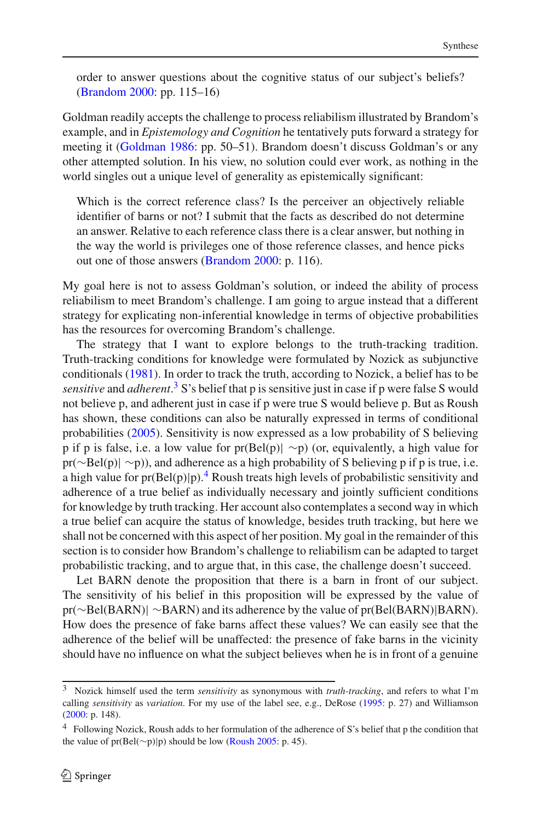order to answer questions about the cognitive status of our subject's beliefs? [\(Brandom 2000:](#page-18-2) pp. 115–16)

Goldman readily accepts the challenge to process reliabilism illustrated by Brandom's example, and in *Epistemology and Cognition* he tentatively puts forward a strategy for meeting it [\(Goldman 1986](#page-18-11): pp. 50–51). Brandom doesn't discuss Goldman's or any other attempted solution. In his view, no solution could ever work, as nothing in the world singles out a unique level of generality as epistemically significant:

Which is the correct reference class? Is the perceiver an objectively reliable identifier of barns or not? I submit that the facts as described do not determine an answer. Relative to each reference class there is a clear answer, but nothing in the way the world is privileges one of those reference classes, and hence picks out one of those answers [\(Brandom 2000:](#page-18-2) p. 116).

My goal here is not to assess Goldman's solution, or indeed the ability of process reliabilism to meet Brandom's challenge. I am going to argue instead that a different strategy for explicating non-inferential knowledge in terms of objective probabilities has the resources for overcoming Brandom's challenge.

The strategy that I want to explore belongs to the truth-tracking tradition. Truth-tracking conditions for knowledge were formulated by Nozick as subjunctive conditionals [\(1981\)](#page-18-4). In order to track the truth, according to Nozick, a belief has to be *sensitive* and *adherent*. [3](#page-5-0) S's belief that p is sensitive just in case if p were false S would not believe p, and adherent just in case if p were true S would believe p. But as Roush has shown, these conditions can also be naturally expressed in terms of conditional probabilities [\(2005](#page-18-5)). Sensitivity is now expressed as a low probability of S believing p if p is false, i.e. a low value for pr(Bel(p)| ∼p) (or, equivalently, a high value for pr(∼Bel(p)| ∼p)), and adherence as a high probability of S believing p if p is true, i.e. a high value for  $pr(Bel(p)|p)$ .<sup>[4](#page-5-1)</sup> Roush treats high levels of probabilistic sensitivity and adherence of a true belief as individually necessary and jointly sufficient conditions for knowledge by truth tracking. Her account also contemplates a second way in which a true belief can acquire the status of knowledge, besides truth tracking, but here we shall not be concerned with this aspect of her position. My goal in the remainder of this section is to consider how Brandom's challenge to reliabilism can be adapted to target probabilistic tracking, and to argue that, in this case, the challenge doesn't succeed.

Let BARN denote the proposition that there is a barn in front of our subject. The sensitivity of his belief in this proposition will be expressed by the value of pr(∼Bel(BARN)| ∼BARN) and its adherence by the value of pr(Bel(BARN)|BARN). How does the presence of fake barns affect these values? We can easily see that the adherence of the belief will be unaffected: the presence of fake barns in the vicinity should have no influence on what the subject believes when he is in front of a genuine

<span id="page-5-0"></span><sup>3</sup> Nozick himself used the term *sensitivity* as synonymous with *truth-tracking*, and refers to what I'm calling *sensitivity* as *variation*. For my use of the label see, e.g., DeRose [\(1995](#page-18-12): p. 27) and Williamson [\(2000](#page-18-13): p. 148).

<span id="page-5-1"></span><sup>&</sup>lt;sup>4</sup> Following Nozick, Roush adds to her formulation of the adherence of S's belief that p the condition that the value of pr(Bel(∼p)|p) should be low [\(Roush 2005](#page-18-5): p. 45).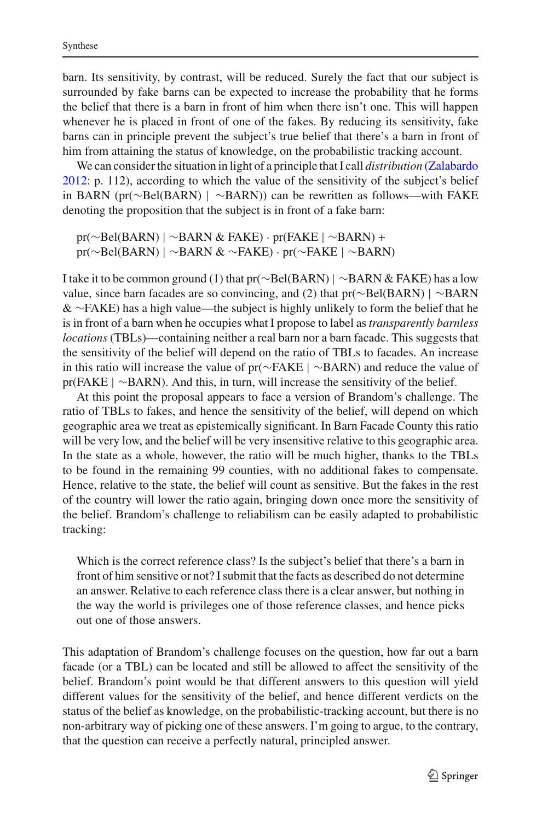barn. Its sensitivity, by contrast, will be reduced. Surely the fact that our subject is surrounded by fake barns can be expected to increase the probability that he forms the belief that there is a barn in front of him when there isn't one. This will happen whenever he is placed in front of one of the fakes. By reducing its sensitivity, fake barns can in principle prevent the subject's true belief that there's a barn in front of him from attaining the status of knowledge, on the probabilistic tracking account.

We can consider the situation in light of a principle that I call *distribution* [\(Zalabardo](#page-18-3) [2012:](#page-18-3) p. 112), according to which the value of the sensitivity of the subject's belief in BARN (pr(∼Bel(BARN) | ∼BARN)) can be rewritten as follows—with FAKE denoting the proposition that the subject is in front of a fake barn:

pr(∼Bel(BARN) | ∼BARN & FAKE) · pr(FAKE | ∼BARN) + pr(∼Bel(BARN) | ∼BARN & ∼FAKE) · pr(∼FAKE | ∼BARN)

I take it to be common ground (1) that pr(∼Bel(BARN) | ∼BARN & FAKE) has a low value, since barn facades are so convincing, and (2) that pr(∼Bel(BARN) | ∼BARN & ∼FAKE) has a high value—the subject is highly unlikely to form the belief that he is in front of a barn when he occupies what I propose to label as*transparently barnless locations* (TBLs)—containing neither a real barn nor a barn facade. This suggests that the sensitivity of the belief will depend on the ratio of TBLs to facades. An increase in this ratio will increase the value of pr(∼FAKE | ∼BARN) and reduce the value of pr(FAKE | ∼BARN). And this, in turn, will increase the sensitivity of the belief.

At this point the proposal appears to face a version of Brandom's challenge. The ratio of TBLs to fakes, and hence the sensitivity of the belief, will depend on which geographic area we treat as epistemically significant. In Barn Facade County this ratio will be very low, and the belief will be very insensitive relative to this geographic area. In the state as a whole, however, the ratio will be much higher, thanks to the TBLs to be found in the remaining 99 counties, with no additional fakes to compensate. Hence, relative to the state, the belief will count as sensitive. But the fakes in the rest of the country will lower the ratio again, bringing down once more the sensitivity of the belief. Brandom's challenge to reliabilism can be easily adapted to probabilistic tracking:

Which is the correct reference class? Is the subject's belief that there's a barn in front of him sensitive or not? I submit that the facts as described do not determine an answer. Relative to each reference class there is a clear answer, but nothing in the way the world is privileges one of those reference classes, and hence picks out one of those answers.

This adaptation of Brandom's challenge focuses on the question, how far out a barn facade (or a TBL) can be located and still be allowed to affect the sensitivity of the belief. Brandom's point would be that different answers to this question will yield different values for the sensitivity of the belief, and hence different verdicts on the status of the belief as knowledge, on the probabilistic-tracking account, but there is no non-arbitrary way of picking one of these answers. I'm going to argue, to the contrary, that the question can receive a perfectly natural, principled answer.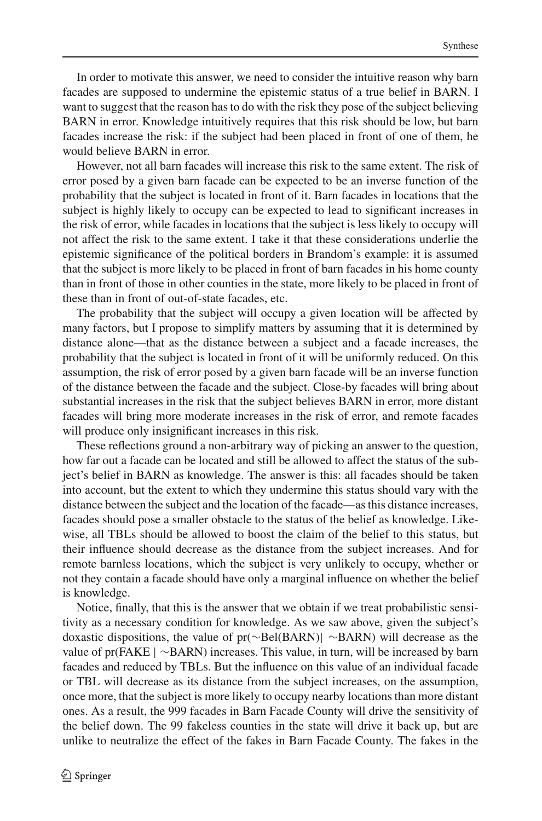In order to motivate this answer, we need to consider the intuitive reason why barn facades are supposed to undermine the epistemic status of a true belief in BARN. I want to suggest that the reason has to do with the risk they pose of the subject believing BARN in error. Knowledge intuitively requires that this risk should be low, but barn facades increase the risk: if the subject had been placed in front of one of them, he would believe BARN in error.

However, not all barn facades will increase this risk to the same extent. The risk of error posed by a given barn facade can be expected to be an inverse function of the probability that the subject is located in front of it. Barn facades in locations that the subject is highly likely to occupy can be expected to lead to significant increases in the risk of error, while facades in locations that the subject is less likely to occupy will not affect the risk to the same extent. I take it that these considerations underlie the epistemic significance of the political borders in Brandom's example: it is assumed that the subject is more likely to be placed in front of barn facades in his home county than in front of those in other counties in the state, more likely to be placed in front of these than in front of out-of-state facades, etc.

The probability that the subject will occupy a given location will be affected by many factors, but I propose to simplify matters by assuming that it is determined by distance alone—that as the distance between a subject and a facade increases, the probability that the subject is located in front of it will be uniformly reduced. On this assumption, the risk of error posed by a given barn facade will be an inverse function of the distance between the facade and the subject. Close-by facades will bring about substantial increases in the risk that the subject believes BARN in error, more distant facades will bring more moderate increases in the risk of error, and remote facades will produce only insignificant increases in this risk.

These reflections ground a non-arbitrary way of picking an answer to the question, how far out a facade can be located and still be allowed to affect the status of the subject's belief in BARN as knowledge. The answer is this: all facades should be taken into account, but the extent to which they undermine this status should vary with the distance between the subject and the location of the facade—as this distance increases, facades should pose a smaller obstacle to the status of the belief as knowledge. Likewise, all TBLs should be allowed to boost the claim of the belief to this status, but their influence should decrease as the distance from the subject increases. And for remote barnless locations, which the subject is very unlikely to occupy, whether or not they contain a facade should have only a marginal influence on whether the belief is knowledge.

Notice, finally, that this is the answer that we obtain if we treat probabilistic sensitivity as a necessary condition for knowledge. As we saw above, given the subject's doxastic dispositions, the value of pr(∼Bel(BARN)| ∼BARN) will decrease as the value of pr(FAKE | ∼BARN) increases. This value, in turn, will be increased by barn facades and reduced by TBLs. But the influence on this value of an individual facade or TBL will decrease as its distance from the subject increases, on the assumption, once more, that the subject is more likely to occupy nearby locations than more distant ones. As a result, the 999 facades in Barn Facade County will drive the sensitivity of the belief down. The 99 fakeless counties in the state will drive it back up, but are unlike to neutralize the effect of the fakes in Barn Facade County. The fakes in the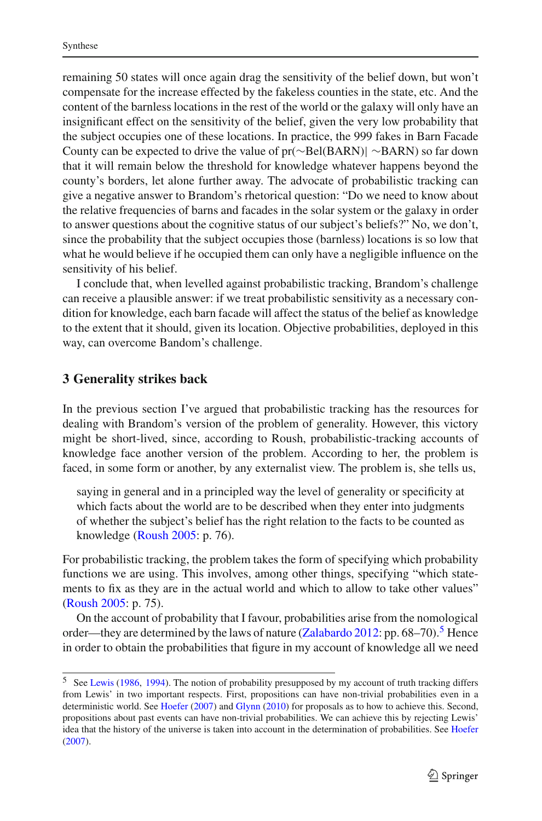remaining 50 states will once again drag the sensitivity of the belief down, but won't compensate for the increase effected by the fakeless counties in the state, etc. And the content of the barnless locations in the rest of the world or the galaxy will only have an insignificant effect on the sensitivity of the belief, given the very low probability that the subject occupies one of these locations. In practice, the 999 fakes in Barn Facade County can be expected to drive the value of pr(∼Bel(BARN)| ∼BARN) so far down that it will remain below the threshold for knowledge whatever happens beyond the county's borders, let alone further away. The advocate of probabilistic tracking can give a negative answer to Brandom's rhetorical question: "Do we need to know about the relative frequencies of barns and facades in the solar system or the galaxy in order to answer questions about the cognitive status of our subject's beliefs?" No, we don't, since the probability that the subject occupies those (barnless) locations is so low that what he would believe if he occupied them can only have a negligible influence on the sensitivity of his belief.

I conclude that, when levelled against probabilistic tracking, Brandom's challenge can receive a plausible answer: if we treat probabilistic sensitivity as a necessary condition for knowledge, each barn facade will affect the status of the belief as knowledge to the extent that it should, given its location. Objective probabilities, deployed in this way, can overcome Bandom's challenge.

#### <span id="page-8-1"></span>**3 Generality strikes back**

In the previous section I've argued that probabilistic tracking has the resources for dealing with Brandom's version of the problem of generality. However, this victory might be short-lived, since, according to Roush, probabilistic-tracking accounts of knowledge face another version of the problem. According to her, the problem is faced, in some form or another, by any externalist view. The problem is, she tells us,

saying in general and in a principled way the level of generality or specificity at which facts about the world are to be described when they enter into judgments of whether the subject's belief has the right relation to the facts to be counted as knowledge [\(Roush 2005](#page-18-5): p. 76).

For probabilistic tracking, the problem takes the form of specifying which probability functions we are using. This involves, among other things, specifying "which statements to fix as they are in the actual world and which to allow to take other values" [\(Roush 2005:](#page-18-5) p. 75).

On the account of probability that I favour, probabilities arise from the nomological order—they are determined by the laws of nature [\(Zalabardo 2012](#page-18-3): pp. 68–70).<sup>[5](#page-8-0)</sup> Hence in order to obtain the probabilities that figure in my account of knowledge all we need

<span id="page-8-0"></span><sup>5</sup> See [Lewis](#page-18-14) [\(1986](#page-18-14), [1994](#page-18-15)). The notion of probability presupposed by my account of truth tracking differs from Lewis' in two important respects. First, propositions can have non-trivial probabilities even in a deterministic world. See [Hoefer](#page-18-16) [\(2007](#page-18-16)) and [Glynn](#page-18-17) [\(2010\)](#page-18-17) for proposals as to how to achieve this. Second, propositions about past events can have non-trivial probabilities. We can achieve this by rejecting Lewis' idea that the history of the universe is taken into account in the determination of probabilities. See [Hoefer](#page-18-16) [\(2007](#page-18-16)).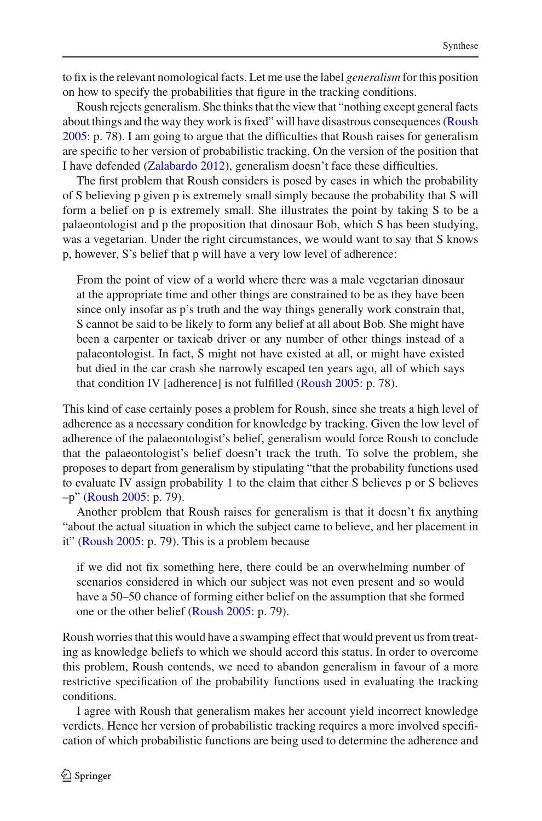to fix is the relevant nomological facts. Let me use the label *generalism* for this position on how to specify the probabilities that figure in the tracking conditions.

Roush rejects generalism. She thinks that the view that "nothing except general facts about things and the way they work is fixed" will have disastrous consequences [\(Roush](#page-18-5) [2005:](#page-18-5) p. 78). I am going to argue that the difficulties that Roush raises for generalism are specific to her version of probabilistic tracking. On the version of the position that I have defended [\(Zalabardo 2012\)](#page-18-3), generalism doesn't face these difficulties.

The first problem that Roush considers is posed by cases in which the probability of S believing p given p is extremely small simply because the probability that S will form a belief on p is extremely small. She illustrates the point by taking S to be a palaeontologist and p the proposition that dinosaur Bob, which S has been studying, was a vegetarian. Under the right circumstances, we would want to say that S knows p, however, S's belief that p will have a very low level of adherence:

From the point of view of a world where there was a male vegetarian dinosaur at the appropriate time and other things are constrained to be as they have been since only insofar as p's truth and the way things generally work constrain that, S cannot be said to be likely to form any belief at all about Bob. She might have been a carpenter or taxicab driver or any number of other things instead of a palaeontologist. In fact, S might not have existed at all, or might have existed but died in the car crash she narrowly escaped ten years ago, all of which says that condition IV [adherence] is not fulfilled [\(Roush 2005:](#page-18-5) p. 78).

This kind of case certainly poses a problem for Roush, since she treats a high level of adherence as a necessary condition for knowledge by tracking. Given the low level of adherence of the palaeontologist's belief, generalism would force Roush to conclude that the palaeontologist's belief doesn't track the truth. To solve the problem, she proposes to depart from generalism by stipulating "that the probability functions used to evaluate IV assign probability 1 to the claim that either S believes p or S believes –p" [\(Roush 2005:](#page-18-5) p. 79).

Another problem that Roush raises for generalism is that it doesn't fix anything "about the actual situation in which the subject came to believe, and her placement in it" [\(Roush 2005](#page-18-5): p. 79). This is a problem because

if we did not fix something here, there could be an overwhelming number of scenarios considered in which our subject was not even present and so would have a 50–50 chance of forming either belief on the assumption that she formed one or the other belief [\(Roush 2005:](#page-18-5) p. 79).

Roush worries that this would have a swamping effect that would prevent us from treating as knowledge beliefs to which we should accord this status. In order to overcome this problem, Roush contends, we need to abandon generalism in favour of a more restrictive specification of the probability functions used in evaluating the tracking conditions.

I agree with Roush that generalism makes her account yield incorrect knowledge verdicts. Hence her version of probabilistic tracking requires a more involved specification of which probabilistic functions are being used to determine the adherence and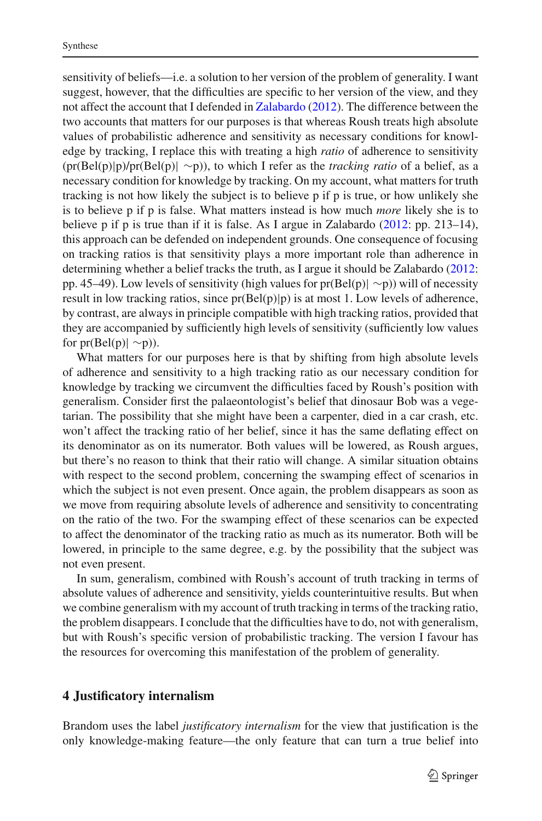sensitivity of beliefs—i.e. a solution to her version of the problem of generality. I want suggest, however, that the difficulties are specific to her version of the view, and they not affect the account that I defended in [Zalabardo](#page-18-3) [\(2012](#page-18-3)). The difference between the two accounts that matters for our purposes is that whereas Roush treats high absolute values of probabilistic adherence and sensitivity as necessary conditions for knowledge by tracking, I replace this with treating a high *ratio* of adherence to sensitivity (pr(Bel(p)|p)/pr(Bel(p)| ∼p)), to which I refer as the *tracking ratio* of a belief, as a necessary condition for knowledge by tracking. On my account, what matters for truth tracking is not how likely the subject is to believe p if p is true, or how unlikely she is to believe p if p is false. What matters instead is how much *more* likely she is to believe p if p is true than if it is false. As I argue in Zalabardo [\(2012:](#page-18-3) pp. 213–14), this approach can be defended on independent grounds. One consequence of focusing on tracking ratios is that sensitivity plays a more important role than adherence in determining whether a belief tracks the truth, as I argue it should be Zalabardo [\(2012](#page-18-3): pp. 45–49). Low levels of sensitivity (high values for pr(Bel(p)| ∼p)) will of necessity result in low tracking ratios, since  $pr(Bel(p)|p)$  is at most 1. Low levels of adherence, by contrast, are always in principle compatible with high tracking ratios, provided that they are accompanied by sufficiently high levels of sensitivity (sufficiently low values for  $pr(Bel(p) \sim p)$ ).

What matters for our purposes here is that by shifting from high absolute levels of adherence and sensitivity to a high tracking ratio as our necessary condition for knowledge by tracking we circumvent the difficulties faced by Roush's position with generalism. Consider first the palaeontologist's belief that dinosaur Bob was a vegetarian. The possibility that she might have been a carpenter, died in a car crash, etc. won't affect the tracking ratio of her belief, since it has the same deflating effect on its denominator as on its numerator. Both values will be lowered, as Roush argues, but there's no reason to think that their ratio will change. A similar situation obtains with respect to the second problem, concerning the swamping effect of scenarios in which the subject is not even present. Once again, the problem disappears as soon as we move from requiring absolute levels of adherence and sensitivity to concentrating on the ratio of the two. For the swamping effect of these scenarios can be expected to affect the denominator of the tracking ratio as much as its numerator. Both will be lowered, in principle to the same degree, e.g. by the possibility that the subject was not even present.

In sum, generalism, combined with Roush's account of truth tracking in terms of absolute values of adherence and sensitivity, yields counterintuitive results. But when we combine generalism with my account of truth tracking in terms of the tracking ratio, the problem disappears. I conclude that the difficulties have to do, not with generalism, but with Roush's specific version of probabilistic tracking. The version I favour has the resources for overcoming this manifestation of the problem of generality.

#### **4 Justificatory internalism**

Brandom uses the label *justificatory internalism* for the view that justification is the only knowledge-making feature—the only feature that can turn a true belief into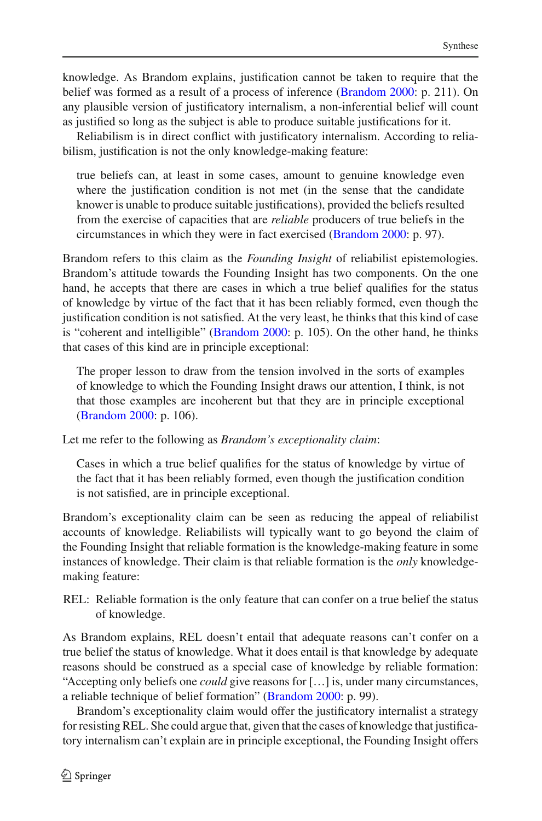knowledge. As Brandom explains, justification cannot be taken to require that the belief was formed as a result of a process of inference [\(Brandom 2000](#page-18-2): p. 211). On any plausible version of justificatory internalism, a non-inferential belief will count as justified so long as the subject is able to produce suitable justifications for it.

Reliabilism is in direct conflict with justificatory internalism. According to reliabilism, justification is not the only knowledge-making feature:

true beliefs can, at least in some cases, amount to genuine knowledge even where the justification condition is not met (in the sense that the candidate knower is unable to produce suitable justifications), provided the beliefs resulted from the exercise of capacities that are *reliable* producers of true beliefs in the circumstances in which they were in fact exercised [\(Brandom 2000:](#page-18-2) p. 97).

Brandom refers to this claim as the *Founding Insight* of reliabilist epistemologies. Brandom's attitude towards the Founding Insight has two components. On the one hand, he accepts that there are cases in which a true belief qualifies for the status of knowledge by virtue of the fact that it has been reliably formed, even though the justification condition is not satisfied. At the very least, he thinks that this kind of case is "coherent and intelligible" [\(Brandom 2000](#page-18-2): p. 105). On the other hand, he thinks that cases of this kind are in principle exceptional:

The proper lesson to draw from the tension involved in the sorts of examples of knowledge to which the Founding Insight draws our attention, I think, is not that those examples are incoherent but that they are in principle exceptional [\(Brandom 2000:](#page-18-2) p. 106).

Let me refer to the following as *Brandom's exceptionality claim*:

Cases in which a true belief qualifies for the status of knowledge by virtue of the fact that it has been reliably formed, even though the justification condition is not satisfied, are in principle exceptional.

Brandom's exceptionality claim can be seen as reducing the appeal of reliabilist accounts of knowledge. Reliabilists will typically want to go beyond the claim of the Founding Insight that reliable formation is the knowledge-making feature in some instances of knowledge. Their claim is that reliable formation is the *only* knowledgemaking feature:

REL: Reliable formation is the only feature that can confer on a true belief the status of knowledge.

As Brandom explains, REL doesn't entail that adequate reasons can't confer on a true belief the status of knowledge. What it does entail is that knowledge by adequate reasons should be construed as a special case of knowledge by reliable formation: "Accepting only beliefs one *could* give reasons for […] is, under many circumstances, a reliable technique of belief formation" [\(Brandom 2000](#page-18-2): p. 99).

Brandom's exceptionality claim would offer the justificatory internalist a strategy for resisting REL. She could argue that, given that the cases of knowledge that justificatory internalism can't explain are in principle exceptional, the Founding Insight offers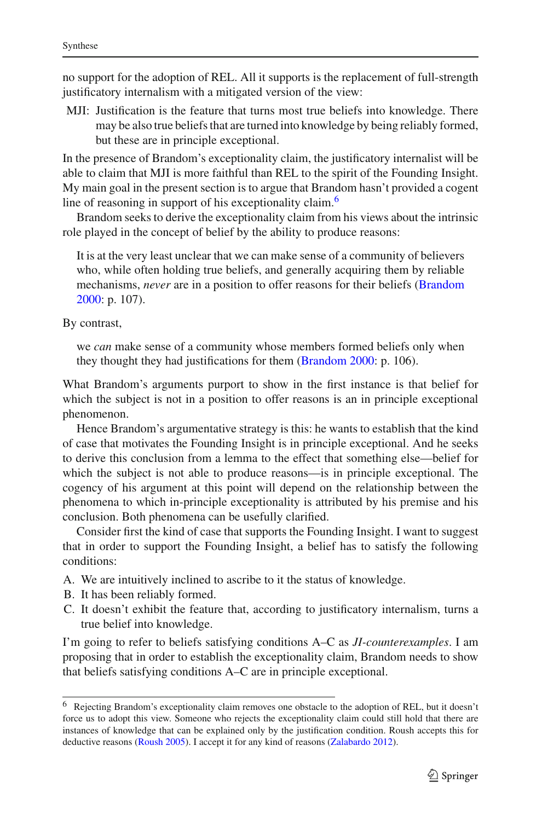no support for the adoption of REL. All it supports is the replacement of full-strength justificatory internalism with a mitigated version of the view:

MJI: Justification is the feature that turns most true beliefs into knowledge. There may be also true beliefs that are turned into knowledge by being reliably formed, but these are in principle exceptional.

In the presence of Brandom's exceptionality claim, the justificatory internalist will be able to claim that MJI is more faithful than REL to the spirit of the Founding Insight. My main goal in the present section is to argue that Brandom hasn't provided a cogent line of reasoning in support of his exceptionality claim.<sup>6</sup>

Brandom seeks to derive the exceptionality claim from his views about the intrinsic role played in the concept of belief by the ability to produce reasons:

It is at the very least unclear that we can make sense of a community of believers who, while often holding true beliefs, and generally acquiring them by reliable mechanisms, *never* are in a position to offer reasons for their beliefs [\(Brandom](#page-18-2) [2000:](#page-18-2) p. 107).

By contrast,

we *can* make sense of a community whose members formed beliefs only when they thought they had justifications for them [\(Brandom 2000:](#page-18-2) p. 106).

What Brandom's arguments purport to show in the first instance is that belief for which the subject is not in a position to offer reasons is an in principle exceptional phenomenon.

Hence Brandom's argumentative strategy is this: he wants to establish that the kind of case that motivates the Founding Insight is in principle exceptional. And he seeks to derive this conclusion from a lemma to the effect that something else—belief for which the subject is not able to produce reasons—is in principle exceptional. The cogency of his argument at this point will depend on the relationship between the phenomena to which in-principle exceptionality is attributed by his premise and his conclusion. Both phenomena can be usefully clarified.

Consider first the kind of case that supports the Founding Insight. I want to suggest that in order to support the Founding Insight, a belief has to satisfy the following conditions:

- A. We are intuitively inclined to ascribe to it the status of knowledge.
- B. It has been reliably formed.
- C. It doesn't exhibit the feature that, according to justificatory internalism, turns a true belief into knowledge.

I'm going to refer to beliefs satisfying conditions A–C as *JI-counterexamples*. I am proposing that in order to establish the exceptionality claim, Brandom needs to show that beliefs satisfying conditions A–C are in principle exceptional.

<span id="page-12-0"></span><sup>6</sup> Rejecting Brandom's exceptionality claim removes one obstacle to the adoption of REL, but it doesn't force us to adopt this view. Someone who rejects the exceptionality claim could still hold that there are instances of knowledge that can be explained only by the justification condition. Roush accepts this for deductive reasons [\(Roush 2005](#page-18-5)). I accept it for any kind of reasons [\(Zalabardo 2012\)](#page-18-3).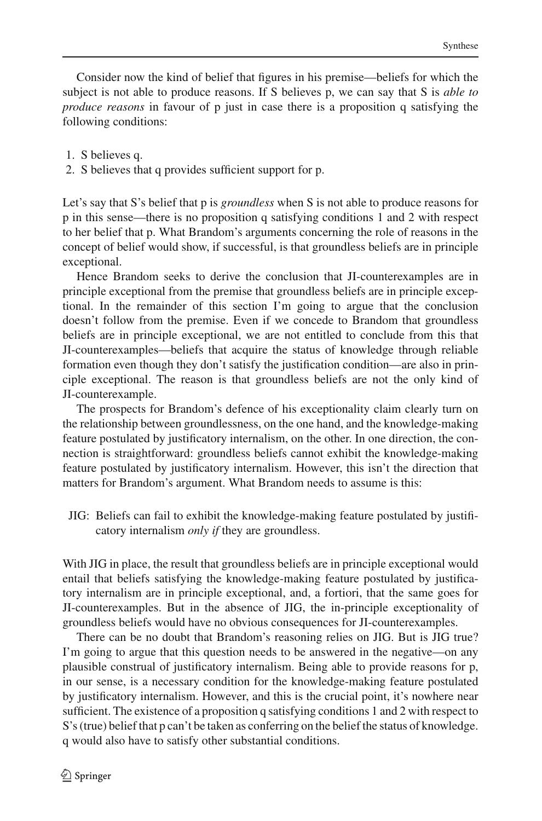Consider now the kind of belief that figures in his premise—beliefs for which the subject is not able to produce reasons. If S believes p, we can say that S is *able to produce reasons* in favour of p just in case there is a proposition q satisfying the following conditions:

- 1. S believes q.
- 2. S believes that q provides sufficient support for p.

Let's say that S's belief that p is *groundless* when S is not able to produce reasons for p in this sense—there is no proposition q satisfying conditions 1 and 2 with respect to her belief that p. What Brandom's arguments concerning the role of reasons in the concept of belief would show, if successful, is that groundless beliefs are in principle exceptional.

Hence Brandom seeks to derive the conclusion that JI-counterexamples are in principle exceptional from the premise that groundless beliefs are in principle exceptional. In the remainder of this section I'm going to argue that the conclusion doesn't follow from the premise. Even if we concede to Brandom that groundless beliefs are in principle exceptional, we are not entitled to conclude from this that JI-counterexamples—beliefs that acquire the status of knowledge through reliable formation even though they don't satisfy the justification condition—are also in principle exceptional. The reason is that groundless beliefs are not the only kind of JI-counterexample.

The prospects for Brandom's defence of his exceptionality claim clearly turn on the relationship between groundlessness, on the one hand, and the knowledge-making feature postulated by justificatory internalism, on the other. In one direction, the connection is straightforward: groundless beliefs cannot exhibit the knowledge-making feature postulated by justificatory internalism. However, this isn't the direction that matters for Brandom's argument. What Brandom needs to assume is this:

JIG: Beliefs can fail to exhibit the knowledge-making feature postulated by justificatory internalism *only if* they are groundless.

With JIG in place, the result that groundless beliefs are in principle exceptional would entail that beliefs satisfying the knowledge-making feature postulated by justificatory internalism are in principle exceptional, and, a fortiori, that the same goes for JI-counterexamples. But in the absence of JIG, the in-principle exceptionality of groundless beliefs would have no obvious consequences for JI-counterexamples.

There can be no doubt that Brandom's reasoning relies on JIG. But is JIG true? I'm going to argue that this question needs to be answered in the negative—on any plausible construal of justificatory internalism. Being able to provide reasons for p, in our sense, is a necessary condition for the knowledge-making feature postulated by justificatory internalism. However, and this is the crucial point, it's nowhere near sufficient. The existence of a proposition q satisfying conditions 1 and 2 with respect to S's (true) belief that p can't be taken as conferring on the belief the status of knowledge. q would also have to satisfy other substantial conditions.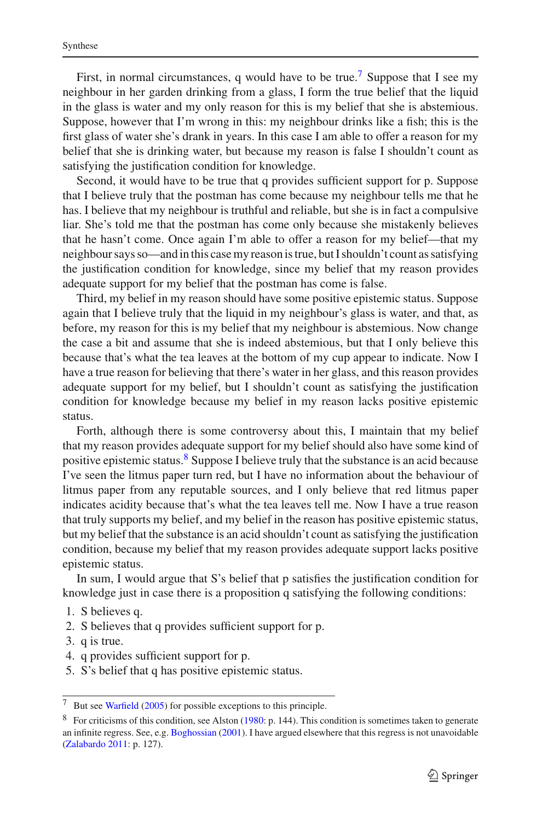First, in normal circumstances, q would have to be true.<sup>[7](#page-14-0)</sup> Suppose that I see my neighbour in her garden drinking from a glass, I form the true belief that the liquid in the glass is water and my only reason for this is my belief that she is abstemious. Suppose, however that I'm wrong in this: my neighbour drinks like a fish; this is the first glass of water she's drank in years. In this case I am able to offer a reason for my belief that she is drinking water, but because my reason is false I shouldn't count as satisfying the justification condition for knowledge.

Second, it would have to be true that q provides sufficient support for p. Suppose that I believe truly that the postman has come because my neighbour tells me that he has. I believe that my neighbour is truthful and reliable, but she is in fact a compulsive liar. She's told me that the postman has come only because she mistakenly believes that he hasn't come. Once again I'm able to offer a reason for my belief—that my neighbour says so—and in this case my reason is true, but I shouldn't count as satisfying the justification condition for knowledge, since my belief that my reason provides adequate support for my belief that the postman has come is false.

Third, my belief in my reason should have some positive epistemic status. Suppose again that I believe truly that the liquid in my neighbour's glass is water, and that, as before, my reason for this is my belief that my neighbour is abstemious. Now change the case a bit and assume that she is indeed abstemious, but that I only believe this because that's what the tea leaves at the bottom of my cup appear to indicate. Now I have a true reason for believing that there's water in her glass, and this reason provides adequate support for my belief, but I shouldn't count as satisfying the justification condition for knowledge because my belief in my reason lacks positive epistemic status.

Forth, although there is some controversy about this, I maintain that my belief that my reason provides adequate support for my belief should also have some kind of positive epistemic status[.8](#page-14-1) Suppose I believe truly that the substance is an acid because I've seen the litmus paper turn red, but I have no information about the behaviour of litmus paper from any reputable sources, and I only believe that red litmus paper indicates acidity because that's what the tea leaves tell me. Now I have a true reason that truly supports my belief, and my belief in the reason has positive epistemic status, but my belief that the substance is an acid shouldn't count as satisfying the justification condition, because my belief that my reason provides adequate support lacks positive epistemic status.

In sum, I would argue that S's belief that p satisfies the justification condition for knowledge just in case there is a proposition q satisfying the following conditions:

- 1. S believes q.
- 2. S believes that q provides sufficient support for p.
- 3. q is true.
- 4. q provides sufficient support for p.
- 5. S's belief that q has positive epistemic status.

<sup>7</sup> But see [Warfield](#page-18-18) [\(2005](#page-18-18)) for possible exceptions to this principle.

<span id="page-14-1"></span><span id="page-14-0"></span><sup>&</sup>lt;sup>8</sup> For criticisms of this condition, see Alston [\(1980:](#page-18-19) p. 144). This condition is sometimes taken to generate an infinite regress. See, e.g. [Boghossian](#page-18-20) [\(2001](#page-18-20)). I have argued elsewhere that this regress is not unavoidable [\(Zalabardo 2011:](#page-18-21) p. 127).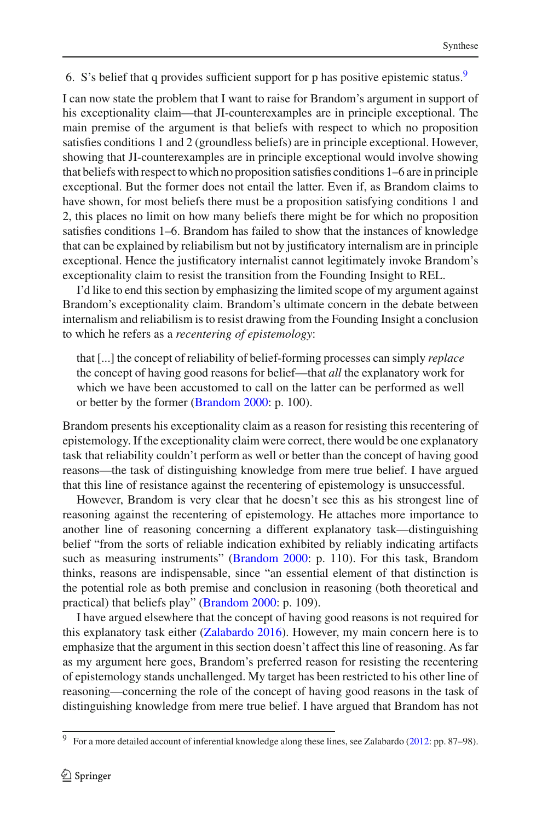6. S's belief that q provides sufficient support for p has positive epistemic status[.9](#page-15-0)

I can now state the problem that I want to raise for Brandom's argument in support of his exceptionality claim—that JI-counterexamples are in principle exceptional. The main premise of the argument is that beliefs with respect to which no proposition satisfies conditions 1 and 2 (groundless beliefs) are in principle exceptional. However, showing that JI-counterexamples are in principle exceptional would involve showing that beliefs with respect to which no proposition satisfies conditions 1–6 are in principle exceptional. But the former does not entail the latter. Even if, as Brandom claims to have shown, for most beliefs there must be a proposition satisfying conditions 1 and 2, this places no limit on how many beliefs there might be for which no proposition satisfies conditions 1–6. Brandom has failed to show that the instances of knowledge that can be explained by reliabilism but not by justificatory internalism are in principle exceptional. Hence the justificatory internalist cannot legitimately invoke Brandom's exceptionality claim to resist the transition from the Founding Insight to REL.

I'd like to end this section by emphasizing the limited scope of my argument against Brandom's exceptionality claim. Brandom's ultimate concern in the debate between internalism and reliabilism is to resist drawing from the Founding Insight a conclusion to which he refers as a *recentering of epistemology*:

that [...] the concept of reliability of belief-forming processes can simply *replace* the concept of having good reasons for belief—that *all* the explanatory work for which we have been accustomed to call on the latter can be performed as well or better by the former [\(Brandom 2000:](#page-18-2) p. 100).

Brandom presents his exceptionality claim as a reason for resisting this recentering of epistemology. If the exceptionality claim were correct, there would be one explanatory task that reliability couldn't perform as well or better than the concept of having good reasons—the task of distinguishing knowledge from mere true belief. I have argued that this line of resistance against the recentering of epistemology is unsuccessful.

However, Brandom is very clear that he doesn't see this as his strongest line of reasoning against the recentering of epistemology. He attaches more importance to another line of reasoning concerning a different explanatory task—distinguishing belief "from the sorts of reliable indication exhibited by reliably indicating artifacts such as measuring instruments" [\(Brandom 2000:](#page-18-2) p. 110). For this task, Brandom thinks, reasons are indispensable, since "an essential element of that distinction is the potential role as both premise and conclusion in reasoning (both theoretical and practical) that beliefs play" [\(Brandom 2000](#page-18-2): p. 109).

I have argued elsewhere that the concept of having good reasons is not required for this explanatory task either [\(Zalabardo 2016\)](#page-18-1). However, my main concern here is to emphasize that the argument in this section doesn't affect this line of reasoning. As far as my argument here goes, Brandom's preferred reason for resisting the recentering of epistemology stands unchallenged. My target has been restricted to his other line of reasoning—concerning the role of the concept of having good reasons in the task of distinguishing knowledge from mere true belief. I have argued that Brandom has not

<span id="page-15-0"></span><sup>9</sup> For a more detailed account of inferential knowledge along these lines, see Zalabardo [\(2012](#page-18-3): pp. 87–98).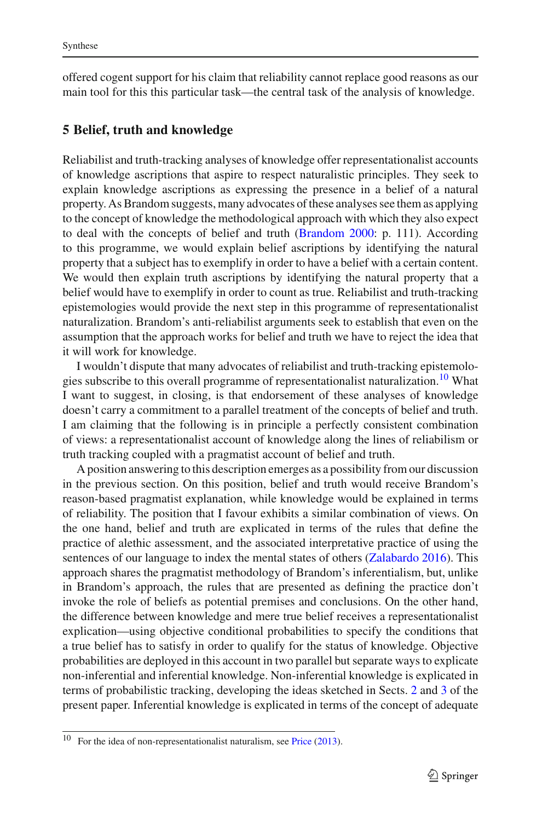offered cogent support for his claim that reliability cannot replace good reasons as our main tool for this this particular task—the central task of the analysis of knowledge.

### **5 Belief, truth and knowledge**

Reliabilist and truth-tracking analyses of knowledge offer representationalist accounts of knowledge ascriptions that aspire to respect naturalistic principles. They seek to explain knowledge ascriptions as expressing the presence in a belief of a natural property. As Brandom suggests, many advocates of these analyses see them as applying to the concept of knowledge the methodological approach with which they also expect to deal with the concepts of belief and truth [\(Brandom 2000](#page-18-2): p. 111). According to this programme, we would explain belief ascriptions by identifying the natural property that a subject has to exemplify in order to have a belief with a certain content. We would then explain truth ascriptions by identifying the natural property that a belief would have to exemplify in order to count as true. Reliabilist and truth-tracking epistemologies would provide the next step in this programme of representationalist naturalization. Brandom's anti-reliabilist arguments seek to establish that even on the assumption that the approach works for belief and truth we have to reject the idea that it will work for knowledge.

I wouldn't dispute that many advocates of reliabilist and truth-tracking epistemologies subscribe to this overall programme of representationalist naturalization.<sup>10</sup> What I want to suggest, in closing, is that endorsement of these analyses of knowledge doesn't carry a commitment to a parallel treatment of the concepts of belief and truth. I am claiming that the following is in principle a perfectly consistent combination of views: a representationalist account of knowledge along the lines of reliabilism or truth tracking coupled with a pragmatist account of belief and truth.

A position answering to this description emerges as a possibility from our discussion in the previous section. On this position, belief and truth would receive Brandom's reason-based pragmatist explanation, while knowledge would be explained in terms of reliability. The position that I favour exhibits a similar combination of views. On the one hand, belief and truth are explicated in terms of the rules that define the practice of alethic assessment, and the associated interpretative practice of using the sentences of our language to index the mental states of others [\(Zalabardo 2016](#page-18-1)). This approach shares the pragmatist methodology of Brandom's inferentialism, but, unlike in Brandom's approach, the rules that are presented as defining the practice don't invoke the role of beliefs as potential premises and conclusions. On the other hand, the difference between knowledge and mere true belief receives a representationalist explication—using objective conditional probabilities to specify the conditions that a true belief has to satisfy in order to qualify for the status of knowledge. Objective probabilities are deployed in this account in two parallel but separate ways to explicate non-inferential and inferential knowledge. Non-inferential knowledge is explicated in terms of probabilistic tracking, developing the ideas sketched in Sects. [2](#page-4-0) and [3](#page-8-1) of the present paper. Inferential knowledge is explicated in terms of the concept of adequate

<span id="page-16-0"></span><sup>&</sup>lt;sup>10</sup> For the idea of non-representationalist naturalism, see [Price](#page-18-22)  $(2013)$ .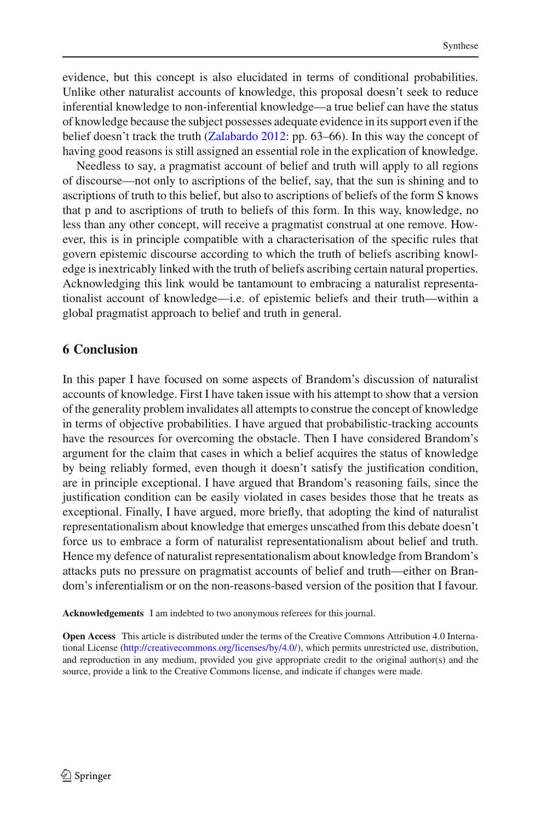evidence, but this concept is also elucidated in terms of conditional probabilities. Unlike other naturalist accounts of knowledge, this proposal doesn't seek to reduce inferential knowledge to non-inferential knowledge—a true belief can have the status of knowledge because the subject possesses adequate evidence in its support even if the belief doesn't track the truth [\(Zalabardo 2012:](#page-18-3) pp. 63–66). In this way the concept of having good reasons is still assigned an essential role in the explication of knowledge.

Needless to say, a pragmatist account of belief and truth will apply to all regions of discourse—not only to ascriptions of the belief, say, that the sun is shining and to ascriptions of truth to this belief, but also to ascriptions of beliefs of the form S knows that p and to ascriptions of truth to beliefs of this form. In this way, knowledge, no less than any other concept, will receive a pragmatist construal at one remove. However, this is in principle compatible with a characterisation of the specific rules that govern epistemic discourse according to which the truth of beliefs ascribing knowledge is inextricably linked with the truth of beliefs ascribing certain natural properties. Acknowledging this link would be tantamount to embracing a naturalist representationalist account of knowledge—i.e. of epistemic beliefs and their truth—within a global pragmatist approach to belief and truth in general.

## **6 Conclusion**

In this paper I have focused on some aspects of Brandom's discussion of naturalist accounts of knowledge. First I have taken issue with his attempt to show that a version of the generality problem invalidates all attempts to construe the concept of knowledge in terms of objective probabilities. I have argued that probabilistic-tracking accounts have the resources for overcoming the obstacle. Then I have considered Brandom's argument for the claim that cases in which a belief acquires the status of knowledge by being reliably formed, even though it doesn't satisfy the justification condition, are in principle exceptional. I have argued that Brandom's reasoning fails, since the justification condition can be easily violated in cases besides those that he treats as exceptional. Finally, I have argued, more briefly, that adopting the kind of naturalist representationalism about knowledge that emerges unscathed from this debate doesn't force us to embrace a form of naturalist representationalism about belief and truth. Hence my defence of naturalist representationalism about knowledge from Brandom's attacks puts no pressure on pragmatist accounts of belief and truth—either on Brandom's inferentialism or on the non-reasons-based version of the position that I favour.

**Acknowledgements** I am indebted to two anonymous referees for this journal.

**Open Access** This article is distributed under the terms of the Creative Commons Attribution 4.0 International License [\(http://creativecommons.org/licenses/by/4.0/\)](http://creativecommons.org/licenses/by/4.0/), which permits unrestricted use, distribution, and reproduction in any medium, provided you give appropriate credit to the original author(s) and the source, provide a link to the Creative Commons license, and indicate if changes were made.